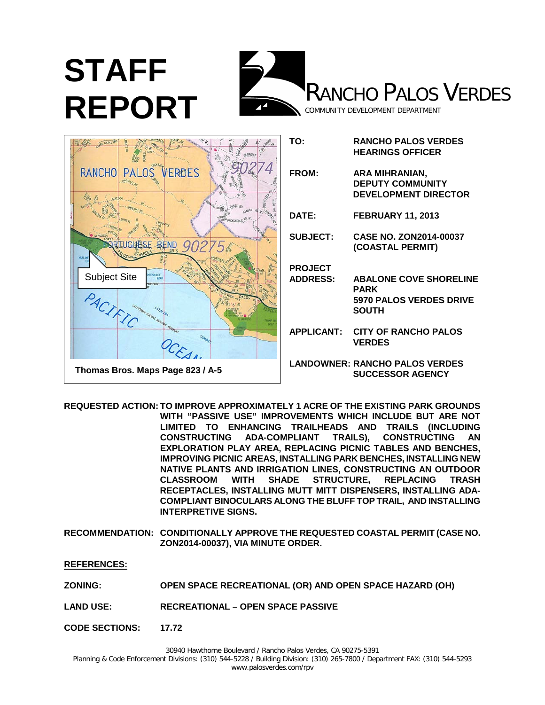

|                                  | TO:               | <b>RANCHO PALOS VERDES</b><br><b>HEARINGS OFFICER</b>                    |
|----------------------------------|-------------------|--------------------------------------------------------------------------|
| RANCHO PALOS<br><b>VERDES</b>    | FROM:             | ARA MIHRANIAN,<br><b>DEPUTY COMMUNITY</b><br><b>DEVELOPMENT DIRECTOR</b> |
|                                  | DATE:             | <b>FEBRUARY 11, 2013</b>                                                 |
| <b>LUGUESE BEND</b>              | <b>SUBJECT:</b>   | <b>CASE NO. ZON2014-00037</b><br>(COASTAL PERMIT)                        |
|                                  | <b>PROJECT</b>    |                                                                          |
| erucursi<br><b>Subject Site</b>  | <b>ADDRESS:</b>   | <b>ABALONE COVE SHORELINE</b><br><b>PARK</b>                             |
| PACIFIC                          |                   | 5970 PALOS VERDES DRIVE<br><b>SOUTH</b>                                  |
|                                  | <b>APPLICANT:</b> | <b>CITY OF RANCHO PALOS</b><br><b>VERDES</b>                             |
| Thomas Bros. Maps Page 823 / A-5 |                   | <b>LANDOWNER: RANCHO PALOS VERDES</b><br><b>SUCCESSOR AGENCY</b>         |

**REQUESTED ACTION: TO IMPROVE APPROXIMATELY 1 ACRE OF THE EXISTING PARK GROUNDS WITH "PASSIVE USE" IMPROVEMENTS WHICH INCLUDE BUT ARE NOT LIMITED TO ENHANCING TRAILHEADS AND TRAILS (INCLUDING CONSTRUCTING ADA-COMPLIANT TRAILS), CONSTRUCTING AN EXPLORATION PLAY AREA, REPLACING PICNIC TABLES AND BENCHES, IMPROVING PICNIC AREAS, INSTALLING PARK BENCHES, INSTALLING NEW NATIVE PLANTS AND IRRIGATION LINES, CONSTRUCTING AN OUTDOOR STRUCTURE, RECEPTACLES, INSTALLING MUTT MITT DISPENSERS, INSTALLING ADA-COMPLIANT BINOCULARS ALONG THE BLUFF TOP TRAIL, AND INSTALLING INTERPRETIVE SIGNS.**

**RECOMMENDATION: CONDITIONALLY APPROVE THE REQUESTED COASTAL PERMIT (CASE NO. ZON2014-00037), VIA MINUTE ORDER.**

**REFERENCES:**

- **ZONING: OPEN SPACE RECREATIONAL (OR) AND OPEN SPACE HAZARD (OH)**
- **LAND USE: RECREATIONAL – OPEN SPACE PASSIVE**
- **CODE SECTIONS: 17.72**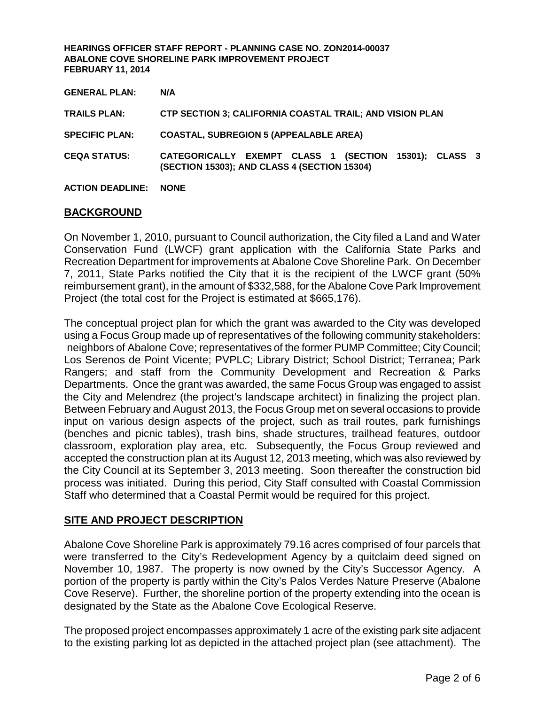| <b>GENERAL PLAN:</b>         | N/A                                                                                                   |  |  |
|------------------------------|-------------------------------------------------------------------------------------------------------|--|--|
| <b>TRAILS PLAN:</b>          | <b>CTP SECTION 3; CALIFORNIA COASTAL TRAIL; AND VISION PLAN</b>                                       |  |  |
| <b>SPECIFIC PLAN:</b>        | <b>COASTAL, SUBREGION 5 (APPEALABLE AREA)</b>                                                         |  |  |
| <b>CEQA STATUS:</b>          | CATEGORICALLY EXEMPT CLASS 1 (SECTION 15301); CLASS 3<br>(SECTION 15303); AND CLASS 4 (SECTION 15304) |  |  |
| <b>ACTION DEADLINE: NONE</b> |                                                                                                       |  |  |

# **BACKGROUND**

On November 1, 2010, pursuant to Council authorization, the City filed a Land and Water Conservation Fund (LWCF) grant application with the California State Parks and Recreation Department for improvements at Abalone Cove Shoreline Park. On December 7, 2011, State Parks notified the City that it is the recipient of the LWCF grant (50% reimbursement grant), in the amount of \$332,588, for the Abalone Cove Park Improvement Project (the total cost for the Project is estimated at \$665,176).

The conceptual project plan for which the grant was awarded to the City was developed using a Focus Group made up of representatives of the following community stakeholders: neighbors of Abalone Cove; representatives of the former PUMP Committee; City Council; Los Serenos de Point Vicente; PVPLC; Library District; School District; Terranea; Park Rangers; and staff from the Community Development and Recreation & Parks Departments. Once the grant was awarded, the same Focus Group was engaged to assist the City and Melendrez (the project's landscape architect) in finalizing the project plan. Between February and August 2013, the Focus Group met on several occasions to provide input on various design aspects of the project, such as trail routes, park furnishings (benches and picnic tables), trash bins, shade structures, trailhead features, outdoor classroom, exploration play area, etc. Subsequently, the Focus Group reviewed and accepted the construction plan at its August 12, 2013 meeting, which was also reviewed by the City Council at its September 3, 2013 meeting. Soon thereafter the construction bid process was initiated. During this period, City Staff consulted with Coastal Commission Staff who determined that a Coastal Permit would be required for this project.

# **SITE AND PROJECT DESCRIPTION**

Abalone Cove Shoreline Park is approximately 79.16 acres comprised of four parcels that were transferred to the City's Redevelopment Agency by a quitclaim deed signed on November 10, 1987. The property is now owned by the City's Successor Agency. A portion of the property is partly within the City's Palos Verdes Nature Preserve (Abalone Cove Reserve). Further, the shoreline portion of the property extending into the ocean is designated by the State as the Abalone Cove Ecological Reserve.

The proposed project encompasses approximately 1 acre of the existing park site adjacent to the existing parking lot as depicted in the attached project plan (see attachment). The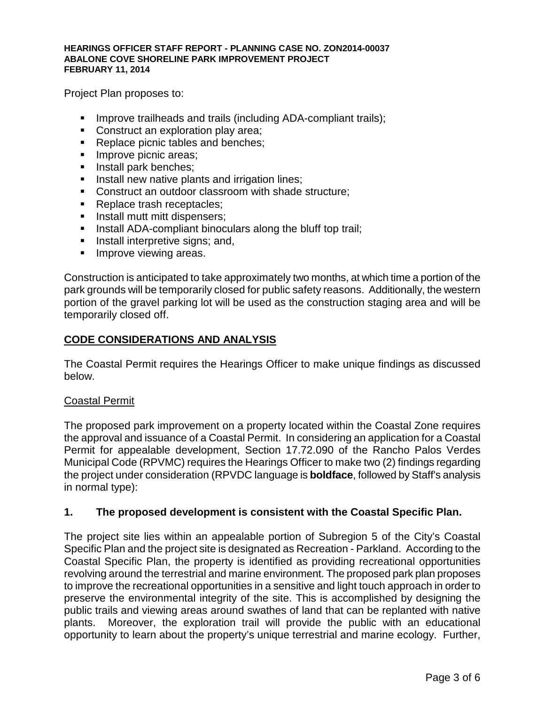Project Plan proposes to:

- **IMPROVE trailheads and trails (including ADA-compliant trails);**
- Construct an exploration play area;
- Replace picnic tables and benches;
- **Improve picnic areas;**
- **Install park benches:**
- **Install new native plants and irrigation lines;**
- **Construct an outdoor classroom with shade structure:**
- Replace trash receptacles;
- **Install mutt mitt dispensers;**
- **Install ADA-compliant binoculars along the bluff top trail;**
- **Install interpretive signs; and,**
- **Improve viewing areas.**

Construction is anticipated to take approximately two months, at which time a portion of the park grounds will be temporarily closed for public safety reasons. Additionally, the western portion of the gravel parking lot will be used as the construction staging area and will be temporarily closed off.

# **CODE CONSIDERATIONS AND ANALYSIS**

The Coastal Permit requires the Hearings Officer to make unique findings as discussed below.

## Coastal Permit

The proposed park improvement on a property located within the Coastal Zone requires the approval and issuance of a Coastal Permit. In considering an application for a Coastal Permit for appealable development, Section 17.72.090 of the Rancho Palos Verdes Municipal Code (RPVMC) requires the Hearings Officer to make two (2) findings regarding the project under consideration (RPVDC language is **boldface**, followed by Staff's analysis in normal type):

# **1. The proposed development is consistent with the Coastal Specific Plan.**

The project site lies within an appealable portion of Subregion 5 of the City's Coastal Specific Plan and the project site is designated as Recreation - Parkland. According to the Coastal Specific Plan, the property is identified as providing recreational opportunities revolving around the terrestrial and marine environment. The proposed park plan proposes to improve the recreational opportunities in a sensitive and light touch approach in order to preserve the environmental integrity of the site. This is accomplished by designing the public trails and viewing areas around swathes of land that can be replanted with native plants. Moreover, the exploration trail will provide the public with an educational opportunity to learn about the property's unique terrestrial and marine ecology. Further,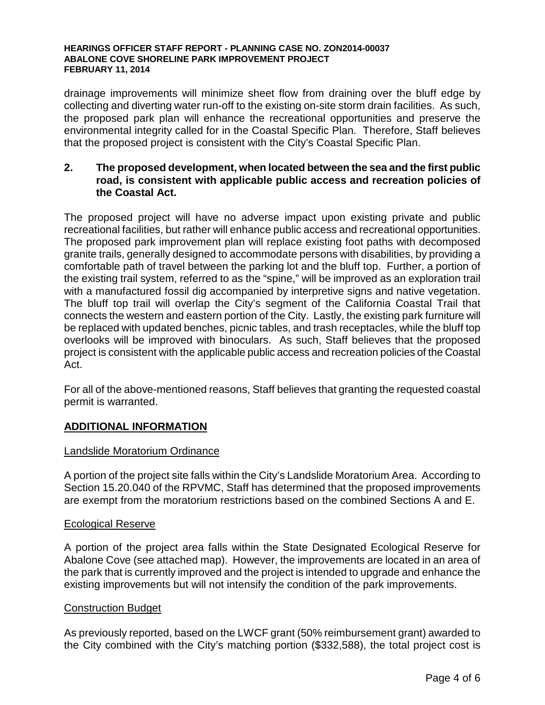drainage improvements will minimize sheet flow from draining over the bluff edge by collecting and diverting water run-off to the existing on-site storm drain facilities. As such, the proposed park plan will enhance the recreational opportunities and preserve the environmental integrity called for in the Coastal Specific Plan. Therefore, Staff believes that the proposed project is consistent with the City's Coastal Specific Plan.

# **2. The proposed development, when located between the sea and the first public road, is consistent with applicable public access and recreation policies of the Coastal Act.**

The proposed project will have no adverse impact upon existing private and public recreational facilities, but rather will enhance public access and recreational opportunities. The proposed park improvement plan will replace existing foot paths with decomposed granite trails, generally designed to accommodate persons with disabilities, by providing a comfortable path of travel between the parking lot and the bluff top. Further, a portion of the existing trail system, referred to as the "spine," will be improved as an exploration trail with a manufactured fossil dig accompanied by interpretive signs and native vegetation. The bluff top trail will overlap the City's segment of the California Coastal Trail that connects the western and eastern portion of the City. Lastly, the existing park furniture will be replaced with updated benches, picnic tables, and trash receptacles, while the bluff top overlooks will be improved with binoculars. As such, Staff believes that the proposed project is consistent with the applicable public access and recreation policies of the Coastal Act.

For all of the above-mentioned reasons, Staff believes that granting the requested coastal permit is warranted.

# **ADDITIONAL INFORMATION**

## Landslide Moratorium Ordinance

A portion of the project site falls within the City's Landslide Moratorium Area. According to Section 15.20.040 of the RPVMC, Staff has determined that the proposed improvements are exempt from the moratorium restrictions based on the combined Sections A and E.

## Ecological Reserve

A portion of the project area falls within the State Designated Ecological Reserve for Abalone Cove (see attached map). However, the improvements are located in an area of the park that is currently improved and the project is intended to upgrade and enhance the existing improvements but will not intensify the condition of the park improvements.

## Construction Budget

As previously reported, based on the LWCF grant (50% reimbursement grant) awarded to the City combined with the City's matching portion (\$332,588), the total project cost is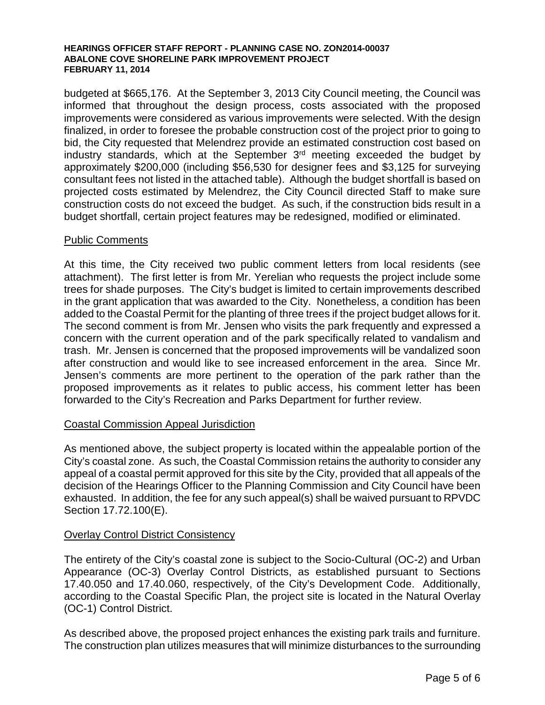budgeted at \$665,176. At the September 3, 2013 City Council meeting, the Council was informed that throughout the design process, costs associated with the proposed improvements were considered as various improvements were selected. With the design finalized, in order to foresee the probable construction cost of the project prior to going to bid, the City requested that Melendrez provide an estimated construction cost based on industry standards, which at the September 3rd meeting exceeded the budget by approximately \$200,000 (including \$56,530 for designer fees and \$3,125 for surveying consultant fees not listed in the attached table). Although the budget shortfall is based on projected costs estimated by Melendrez, the City Council directed Staff to make sure construction costs do not exceed the budget. As such, if the construction bids result in a budget shortfall, certain project features may be redesigned, modified or eliminated.

## Public Comments

At this time, the City received two public comment letters from local residents (see attachment). The first letter is from Mr. Yerelian who requests the project include some trees for shade purposes. The City's budget is limited to certain improvements described in the grant application that was awarded to the City. Nonetheless, a condition has been added to the Coastal Permit for the planting of three trees if the project budget allows for it. The second comment is from Mr. Jensen who visits the park frequently and expressed a concern with the current operation and of the park specifically related to vandalism and trash. Mr. Jensen is concerned that the proposed improvements will be vandalized soon after construction and would like to see increased enforcement in the area. Since Mr. Jensen's comments are more pertinent to the operation of the park rather than the proposed improvements as it relates to public access, his comment letter has been forwarded to the City's Recreation and Parks Department for further review.

## Coastal Commission Appeal Jurisdiction

As mentioned above, the subject property is located within the appealable portion of the City's coastal zone. As such, the Coastal Commission retains the authority to consider any appeal of a coastal permit approved for this site by the City, provided that all appeals of the decision of the Hearings Officer to the Planning Commission and City Council have been exhausted. In addition, the fee for any such appeal(s) shall be waived pursuant to RPVDC Section 17.72.100(E).

# Overlay Control District Consistency

The entirety of the City's coastal zone is subject to the Socio-Cultural (OC-2) and Urban Appearance (OC-3) Overlay Control Districts, as established pursuant to Sections 17.40.050 and 17.40.060, respectively, of the City's Development Code. Additionally, according to the Coastal Specific Plan, the project site is located in the Natural Overlay (OC-1) Control District.

As described above, the proposed project enhances the existing park trails and furniture. The construction plan utilizes measures that will minimize disturbances to the surrounding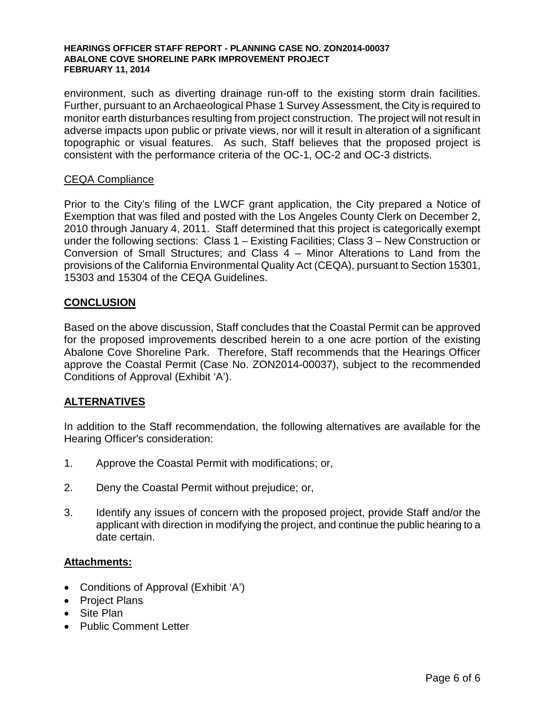environment, such as diverting drainage run-off to the existing storm drain facilities. Further, pursuant to an Archaeological Phase 1 Survey Assessment, the City is required to monitor earth disturbances resulting from project construction. The project will not result in adverse impacts upon public or private views, nor will it result in alteration of a significant topographic or visual features. As such, Staff believes that the proposed project is consistent with the performance criteria of the OC-1, OC-2 and OC-3 districts.

## CEQA Compliance

Prior to the City's filing of the LWCF grant application, the City prepared a Notice of Exemption that was filed and posted with the Los Angeles County Clerk on December 2, 2010 through January 4, 2011. Staff determined that this project is categorically exempt under the following sections: Class 1 – Existing Facilities; Class 3 – New Construction or Conversion of Small Structures; and Class 4 – Minor Alterations to Land from the provisions of the California Environmental Quality Act (CEQA), pursuant to Section 15301, 15303 and 15304 of the CEQA Guidelines.

# **CONCLUSION**

Based on the above discussion, Staff concludes that the Coastal Permit can be approved for the proposed improvements described herein to a one acre portion of the existing Abalone Cove Shoreline Park. Therefore, Staff recommends that the Hearings Officer approve the Coastal Permit (Case No. ZON2014-00037), subject to the recommended Conditions of Approval (Exhibit 'A').

# **ALTERNATIVES**

In addition to the Staff recommendation, the following alternatives are available for the Hearing Officer's consideration:

- 1. Approve the Coastal Permit with modifications; or,
- 2. Deny the Coastal Permit without prejudice; or,
- 3. Identify any issues of concern with the proposed project, provide Staff and/or the applicant with direction in modifying the project, and continue the public hearing to a date certain.

## **Attachments:**

- Conditions of Approval (Exhibit 'A')
- Project Plans
- Site Plan
- Public Comment Letter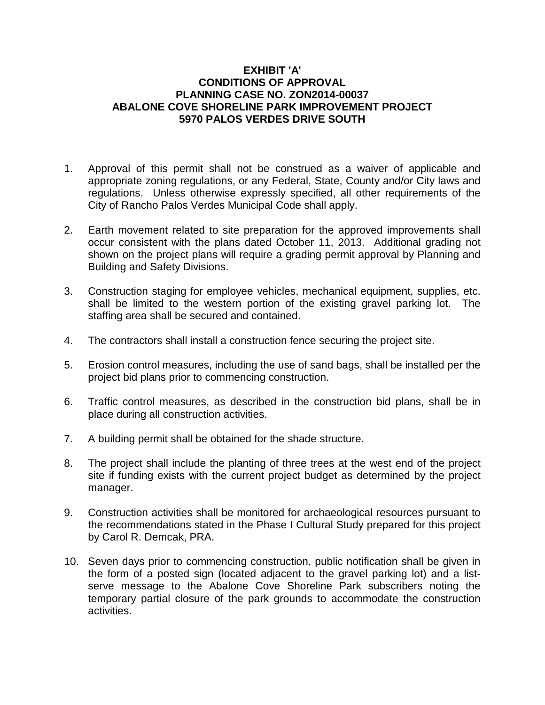## **EXHIBIT 'A' CONDITIONS OF APPROVAL PLANNING CASE NO. ZON2014-00037 ABALONE COVE SHORELINE PARK IMPROVEMENT PROJECT 5970 PALOS VERDES DRIVE SOUTH**

- 1. Approval of this permit shall not be construed as a waiver of applicable and appropriate zoning regulations, or any Federal, State, County and/or City laws and regulations. Unless otherwise expressly specified, all other requirements of the City of Rancho Palos Verdes Municipal Code shall apply.
- 2. Earth movement related to site preparation for the approved improvements shall occur consistent with the plans dated October 11, 2013. Additional grading not shown on the project plans will require a grading permit approval by Planning and Building and Safety Divisions.
- 3. Construction staging for employee vehicles, mechanical equipment, supplies, etc. shall be limited to the western portion of the existing gravel parking lot. The staffing area shall be secured and contained.
- 4. The contractors shall install a construction fence securing the project site.
- 5. Erosion control measures, including the use of sand bags, shall be installed per the project bid plans prior to commencing construction.
- 6. Traffic control measures, as described in the construction bid plans, shall be in place during all construction activities.
- 7. A building permit shall be obtained for the shade structure.
- 8. The project shall include the planting of three trees at the west end of the project site if funding exists with the current project budget as determined by the project manager.
- 9. Construction activities shall be monitored for archaeological resources pursuant to the recommendations stated in the Phase I Cultural Study prepared for this project by Carol R. Demcak, PRA.
- 10. Seven days prior to commencing construction, public notification shall be given in the form of a posted sign (located adjacent to the gravel parking lot) and a listserve message to the Abalone Cove Shoreline Park subscribers noting the temporary partial closure of the park grounds to accommodate the construction activities.